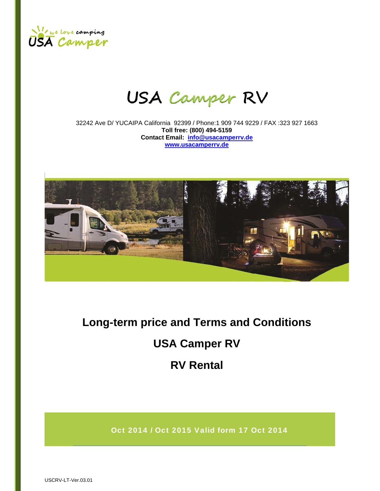

# **USA Camper RV**

32242 Ave D/ YUCAIPA California 92399 / Phone:1 909 744 9229 / FAX :323 927 1663 **Toll free: (800) 494-5159 Contact Email: info@usacamperrv.de www.usacamperrv.de**



# **Long-term price and Terms and Conditions USA Camper RV RV Rental**

Oct 2014 / Oct 2015 Valid form 17 Oct 2014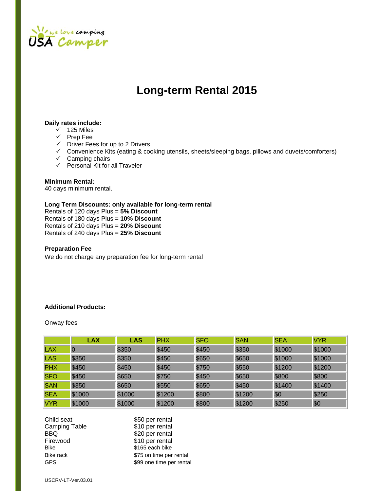

# **Long-term Rental 2015**

#### **Daily rates include:**

- $\checkmark$  125 Miles
- $\checkmark$  Prep Fee
- $\checkmark$  Driver Fees for up to 2 Drivers
- $\checkmark$  Convenience Kits (eating & cooking utensils, sheets/sleeping bags, pillows and duvets/comforters)
- $\checkmark$  Camping chairs
- $\checkmark$  Personal Kit for all Traveler

### **Minimum Rental:**

40 days minimum rental.

# **Long Term Discounts: only available for long-term rental**

Rentals of 120 days Plus = **5% Discount**  Rentals of 180 days Plus = **10% Discount**  Rentals of 210 days Plus = **20% Discount**  Rentals of 240 days Plus = **25% Discount** 

### **Preparation Fee**

We do not charge any preparation fee for long-term rental

# **Additional Products:**

Onway fees

|            | <b>LAX</b>     | <b>LAS</b> | <b>PHX</b> | <b>SFO</b> | <b>SAN</b> | <b>SEA</b> | <b>VYR</b> |
|------------|----------------|------------|------------|------------|------------|------------|------------|
| <b>LAX</b> | $\overline{0}$ | \$350      | \$450      | \$450      | \$350      | \$1000     | \$1000     |
| <b>LAS</b> | \$350          | \$350      | \$450      | \$650      | \$650      | \$1000     | \$1000     |
| <b>PHX</b> | \$450          | \$450      | \$450      | \$750      | \$550      | \$1200     | \$1200     |
| <b>SFO</b> | \$450          | \$650      | \$750      | \$450      | \$650      | \$800      | \$800      |
| <b>SAN</b> | \$350          | \$650      | \$550      | \$650      | \$450      | \$1400     | \$1400     |
| <b>SEA</b> | \$1000         | \$1000     | \$1200     | \$800      | \$1200     | \$0        | \$250      |
| <b>VYR</b> | \$1000         | \$1000     | \$1200     | \$800      | \$1200     | \$250      | \$0        |

| Child seat    | \$50 per rental          |
|---------------|--------------------------|
| Camping Table | \$10 per rental          |
| BBO.          | \$20 per rental          |
| Firewood      | \$10 per rental          |
| Bike          | \$165 each bike          |
| Bike rack     | \$75 on time per rental  |
| <b>GPS</b>    | \$99 one time per rental |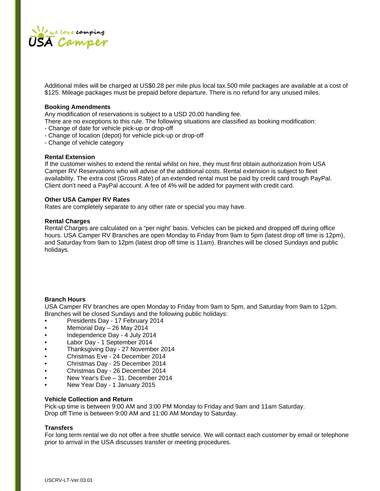

Additional miles will be charged at US\$0.28 per mile plus local tax.500 mile packages are available at a cost of \$125. Mileage packages must be prepaid before departure. There is no refund for any unused miles.

#### **Booking Amendments**

Any modification of reservations is subject to a USD 20.00 handling fee.

- There are no exceptions to this rule. The following situations are classified as booking modification:
- Change of date for vehicle pick-up or drop-off
- Change of location (depot) for vehicle pick-up or drop-off
- Change of vehicle category

#### **Rental Extension**

If the customer wishes to extend the rental whilst on hire, they must first obtain authorization from USA Camper RV Reservations who will advise of the additional costs. Rental extension is subject to fleet availability. The extra cost (Gross Rate) of an extended rental must be paid by credit card trough PayPal. Client don't need a PayPal account. A fee of 4% will be added for payment with credit card.

#### **Other USA Camper RV Rates**

Rates are completely separate to any other rate or special you may have.

#### **Rental Charges**

Rental Charges are calculated on a "per night' basis. Vehicles can be picked and dropped off during office hours. USA Camper RV Branches are open Monday to Friday from 9am to 5pm (latest drop off time is 12pm), and Saturday from 9am to 12pm (latest drop off time is 11am). Branches will be closed Sundays and public holidays.

#### **Branch Hours**

USA Camper RV branches are open Monday to Friday from 9am to 5pm, and Saturday from 9am to 12pm. Branches will be closed Sundays and the following public holidays:

- Presidents Day 17 February 2014
- Memorial Day 26 May 2014
- Independence Day 4 July 2014
- Labor Day 1 September 2014
- Thanksgiving Day 27 November 2014
- Christmas Eve 24 December 2014
- Christmas Day 25 December 2014
- Christmas Day 26 December 2014
- New Year's Eve 31. December 2014
- New Year Day 1 January 2015

#### **Vehicle Collection and Return**

Pick-up time is between 9:00 AM and 3:00 PM Monday to Friday and 9am and 11am Saturday. Drop off Time is between 9:00 AM and 11:00 AM Monday to Saturday.

#### **Transfers**

For long term rental we do not offer a free shuttle service. We will contact each customer by email or telephone prior to arrival in the USA discusses transfer or meeting procedures.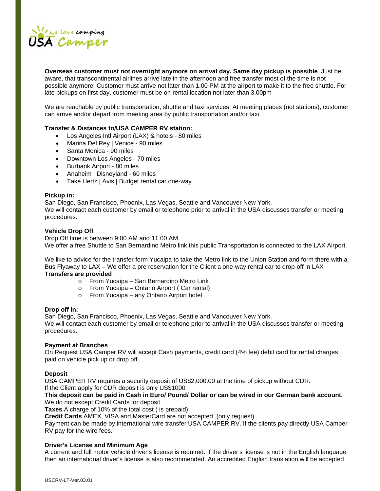

**Overseas customer must not overnight anymore on arrival day. Same day pickup is possible**. Just be aware, that transcontinental airlines arrive late in the afternoon and free transfer most of the time is not possible anymore. Customer must arrive not later than 1.00 PM at the airport to make it to the free shuttle. For late pickups on first day, customer must be on rental location not later than 3.00pm

We are reachable by public transportation, shuttle and taxi services. At meeting places (not stations), customer can arrive and/or depart from meeting area by public transportation and/or taxi.

# **Transfer & Distances to/USA CAMPER RV station:**

- Los Angeles Intl Airport (LAX) & hotels 80 miles
- Marina Del Rey | Venice 90 miles
- Santa Monica 90 miles
- Downtown Los Angeles 70 miles
- Burbank Airport 80 miles
- Anaheim | Disneyland 60 miles
- Take Hertz | Avis | Budget rental car one-way

#### **Pickup in:**

San Diego, San Francisco, Phoenix, Las Vegas, Seattle and Vancouver New York, We will contact each customer by email or telephone prior to arrival in the USA discusses transfer or meeting procedures.

#### **Vehicle Drop Off**

Drop Off time is between 9:00 AM and 11.00 AM We offer a free Shuttle to San Bernardino Metro link this public Transportation is connected to the LAX Airport.

We like to advice for the transfer form Yucaipa to take the Metro link to the Union Station and form there with a Bus Flyaway to LAX – We offer a pre reservation for the Client a one-way rental car to drop-off in LAX

# **Transfers are provided**

- o From Yucaipa San Bernardino Metro Link
- o From Yucaipa Ontario Airport ( Car rental)
- o From Yucaipa any Ontario Airport hotel

#### **Drop off in:**

San Diego, San Francisco, Phoenix, Las Vegas, Seattle and Vancouver New York, We will contact each customer by email or telephone prior to arrival in the USA discusses transfer or meeting procedures.

#### **Payment at Branches**

On Request USA Camper RV will accept Cash payments, credit card (4% fee) debit card for rental charges paid on vehicle pick up or drop off.

#### **Deposit**

USA CAMPER RV requires a security deposit of US\$2,000.00 at the time of pickup without CDR.

If the Client apply for CDR deposit is only US\$1000

#### **This deposit can be paid in Cash in Euro/ Pound/ Dollar or can be wired in our German bank account.**  We do not except Credit Cards for deposit.

**Taxes** A charge of 10% of the total cost ( is prepaid)

**Credit Cards** AMEX, VISA and MasterCard are not accepted. (only request)

Payment can be made by international wire transfer USA CAMPER RV. If the clients pay directly USA Camper RV pay for the wire fees.

# **Driver's License and Minimum Age**

A current and full motor vehicle driver's license is required. If the driver's license is not in the English language then an international driver's license is also recommended. An accredited English translation will be accepted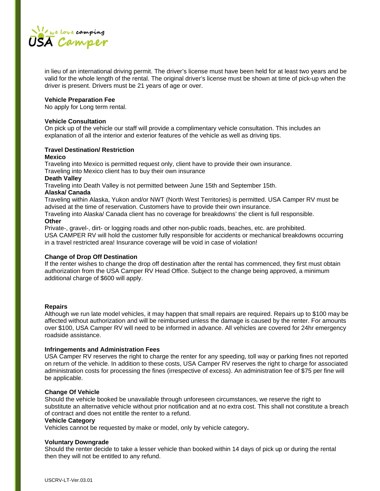

in lieu of an international driving permit. The driver's license must have been held for at least two years and be valid for the whole length of the rental. The original driver's license must be shown at time of pick-up when the driver is present. Drivers must be 21 years of age or over.

#### **Vehicle Preparation Fee**

No apply for Long term rental.

#### **Vehicle Consultation**

On pick up of the vehicle our staff will provide a complimentary vehicle consultation. This includes an explanation of all the interior and exterior features of the vehicle as well as driving tips.

# **Travel Destination/ Restriction**

#### **Mexico**

Traveling into Mexico is permitted request only, client have to provide their own insurance.

Traveling into Mexico client has to buy their own insurance

# **Death Valley**

Traveling into Death Valley is not permitted between June 15th and September 15th.

#### **Alaska/ Canada**

Traveling within Alaska, Yukon and/or NWT (North West Territories) is permitted. USA Camper RV must be advised at the time of reservation. Customers have to provide their own insurance.

Traveling into Alaska/ Canada client has no coverage for breakdowns' the client is full responsible. **Other**

Private-, gravel-, dirt- or logging roads and other non-public roads, beaches, etc. are prohibited.

USA CAMPER RV will hold the customer fully responsible for accidents or mechanical breakdowns occurring in a travel restricted area! Insurance coverage will be void in case of violation!

#### **Change of Drop Off Destination**

If the renter wishes to change the drop off destination after the rental has commenced, they first must obtain authorization from the USA Camper RV Head Office. Subject to the change being approved, a minimum additional charge of \$600 will apply.

#### **Repairs**

Although we run late model vehicles, it may happen that small repairs are required. Repairs up to \$100 may be affected without authorization and will be reimbursed unless the damage is caused by the renter. For amounts over \$100, USA Camper RV will need to be informed in advance. All vehicles are covered for 24hr emergency roadside assistance.

#### **Infringements and Administration Fees**

USA Camper RV reserves the right to charge the renter for any speeding, toll way or parking fines not reported on return of the vehicle. In addition to these costs, USA Camper RV reserves the right to charge for associated administration costs for processing the fines (irrespective of excess). An administration fee of \$75 per fine will be applicable.

#### **Change Of Vehicle**

Should the vehicle booked be unavailable through unforeseen circumstances, we reserve the right to substitute an alternative vehicle without prior notification and at no extra cost. This shall not constitute a breach of contract and does not entitle the renter to a refund.

#### **Vehicle Category**

Vehicles cannot be requested by make or model, only by vehicle category**.** 

#### **Voluntary Downgrade**

Should the renter decide to take a lesser vehicle than booked within 14 days of pick up or during the rental then they will not be entitled to any refund.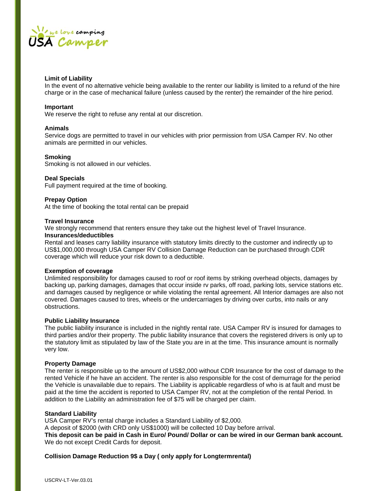

#### **Limit of Liability**

In the event of no alternative vehicle being available to the renter our liability is limited to a refund of the hire charge or in the case of mechanical failure (unless caused by the renter) the remainder of the hire period.

#### **Important**

We reserve the right to refuse any rental at our discretion.

#### **Animals**

Service dogs are permitted to travel in our vehicles with prior permission from USA Camper RV. No other animals are permitted in our vehicles.

#### **Smoking**

Smoking is not allowed in our vehicles.

#### **Deal Specials**

Full payment required at the time of booking.

#### **Prepay Option**

At the time of booking the total rental can be prepaid

#### **Travel Insurance**

We strongly recommend that renters ensure they take out the highest level of Travel Insurance. **Insurances/deductibles**

Rental and leases carry liability insurance with statutory limits directly to the customer and indirectly up to US\$1,000,000 through USA Camper RV Collision Damage Reduction can be purchased through CDR coverage which will reduce your risk down to a deductible.

#### **Exemption of coverage**

Unlimited responsibility for damages caused to roof or roof items by striking overhead objects, damages by backing up, parking damages, damages that occur inside rv parks, off road, parking lots, service stations etc. and damages caused by negligence or while violating the rental agreement. All Interior damages are also not covered. Damages caused to tires, wheels or the undercarriages by driving over curbs, into nails or any obstructions.

#### **Public Liability Insurance**

The public liability insurance is included in the nightly rental rate. USA Camper RV is insured for damages to third parties and/or their property. The public liability insurance that covers the registered drivers is only up to the statutory limit as stipulated by law of the State you are in at the time. This insurance amount is normally very low.

#### **Property Damage**

The renter is responsible up to the amount of US\$2,000 without CDR Insurance for the cost of damage to the rented Vehicle if he have an accident. The renter is also responsible for the cost of demurrage for the period the Vehicle is unavailable due to repairs. The Liability is applicable regardless of who is at fault and must be paid at the time the accident is reported to USA Camper RV, not at the completion of the rental Period. In addition to the Liability an administration fee of \$75 will be charged per claim.

#### **Standard Liability**

USA Camper RV's rental charge includes a Standard Liability of \$2,000.

A deposit of \$2000 (with CRD only US\$1000) will be collected 10 Day before arrival.

**This deposit can be paid in Cash in Euro/ Pound/ Dollar or can be wired in our German bank account.**  We do not except Credit Cards for deposit.

#### **Collision Damage Reduction 9\$ a Day ( only apply for Longtermrental)**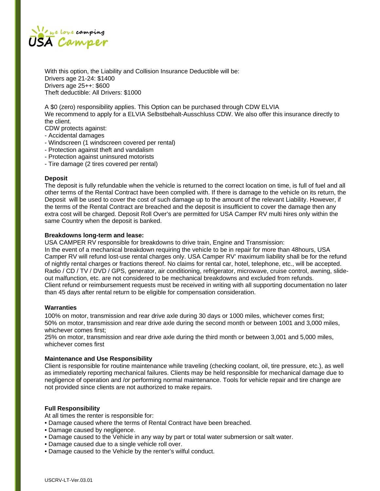

With this option, the Liability and Collision Insurance Deductible will be: Drivers age 21-24: \$1400 Drivers age 25++: \$600 Theft deductible: All Drivers: \$1000

A \$0 (zero) responsibility applies. This Option can be purchased through CDW ELVIA We recommend to apply for a ELVIA Selbstbehalt-Ausschluss CDW. We also offer this insurance directly to the client.

CDW protects against:

- Accidental damages
- Windscreen (1 windscreen covered per rental)
- Protection against theft and vandalism
- Protection against uninsured motorists
- Tire damage (2 tires covered per rental)

#### **Deposit**

The deposit is fully refundable when the vehicle is returned to the correct location on time, is full of fuel and all other terms of the Rental Contract have been complied with. If there is damage to the vehicle on its return, the Deposit will be used to cover the cost of such damage up to the amount of the relevant Liability. However, if the terms of the Rental Contract are breached and the deposit is insufficient to cover the damage then any extra cost will be charged. Deposit Roll Over's are permitted for USA Camper RV multi hires only within the same Country when the deposit is banked.

#### **Breakdowns long-term and lease:**

USA CAMPER RV responsible for breakdowns to drive train, Engine and Transmission: In the event of a mechanical breakdown requiring the vehicle to be in repair for more than 48hours, USA

Camper RV will refund lost-use rental charges only. USA Camper RV' maximum liability shall be for the refund of nightly rental charges or fractions thereof. No claims for rental car, hotel, telephone, etc., will be accepted. Radio / CD / TV / DVD / GPS, generator, air conditioning, refrigerator, microwave, cruise control, awning, slideout malfunction, etc. are not considered to be mechanical breakdowns and excluded from refunds. Client refund or reimbursement requests must be received in writing with all supporting documentation no later than 45 days after rental return to be eligible for compensation consideration.

#### **Warranties**

100% on motor, transmission and rear drive axle during 30 days or 1000 miles, whichever comes first; 50% on motor, transmission and rear drive axle during the second month or between 1001 and 3,000 miles, whichever comes first;

25% on motor, transmission and rear drive axle during the third month or between 3,001 and 5,000 miles, whichever comes first

#### **Maintenance and Use Responsibility**

Client is responsible for routine maintenance while traveling (checking coolant, oil, tire pressure, etc.), as well as immediately reporting mechanical failures. Clients may be held responsible for mechanical damage due to negligence of operation and /or performing normal maintenance. Tools for vehicle repair and tire change are not provided since clients are not authorized to make repairs.

#### **Full Responsibility**

At all times the renter is responsible for:

- Damage caused where the terms of Rental Contract have been breached.
- Damage caused by negligence.
- Damage caused to the Vehicle in any way by part or total water submersion or salt water.
- Damage caused due to a single vehicle roll over.
- Damage caused to the Vehicle by the renter's wilful conduct.